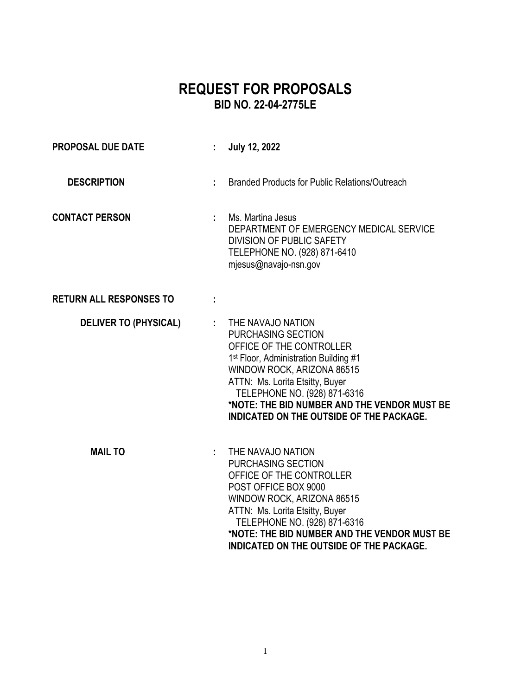# **REQUEST FOR PROPOSALS BID NO. 22-04-2775LE**

| <b>PROPOSAL DUE DATE</b>       | ÷. | <b>July 12, 2022</b>                                                                                                                                                                                                                                                                                                           |
|--------------------------------|----|--------------------------------------------------------------------------------------------------------------------------------------------------------------------------------------------------------------------------------------------------------------------------------------------------------------------------------|
| <b>DESCRIPTION</b>             |    | <b>Branded Products for Public Relations/Outreach</b>                                                                                                                                                                                                                                                                          |
| <b>CONTACT PERSON</b>          |    | Ms. Martina Jesus<br>DEPARTMENT OF EMERGENCY MEDICAL SERVICE<br><b>DIVISION OF PUBLIC SAFETY</b><br>TELEPHONE NO. (928) 871-6410<br>mjesus@navajo-nsn.gov                                                                                                                                                                      |
| <b>RETURN ALL RESPONSES TO</b> |    |                                                                                                                                                                                                                                                                                                                                |
| <b>DELIVER TO (PHYSICAL)</b>   |    | : THE NAVAJO NATION<br><b>PURCHASING SECTION</b><br>OFFICE OF THE CONTROLLER<br>1 <sup>st</sup> Floor, Administration Building #1<br>WINDOW ROCK, ARIZONA 86515<br>ATTN: Ms. Lorita Etsitty, Buyer<br>TELEPHONE NO. (928) 871-6316<br>*NOTE: THE BID NUMBER AND THE VENDOR MUST BE<br>INDICATED ON THE OUTSIDE OF THE PACKAGE. |
| <b>MAIL TO</b>                 |    | THE NAVAJO NATION<br>PURCHASING SECTION<br>OFFICE OF THE CONTROLLER<br>POST OFFICE BOX 9000<br>WINDOW ROCK, ARIZONA 86515<br>ATTN: Ms. Lorita Etsitty, Buyer<br>TELEPHONE NO. (928) 871-6316<br>*NOTE: THE BID NUMBER AND THE VENDOR MUST BE<br>INDICATED ON THE OUTSIDE OF THE PACKAGE.                                       |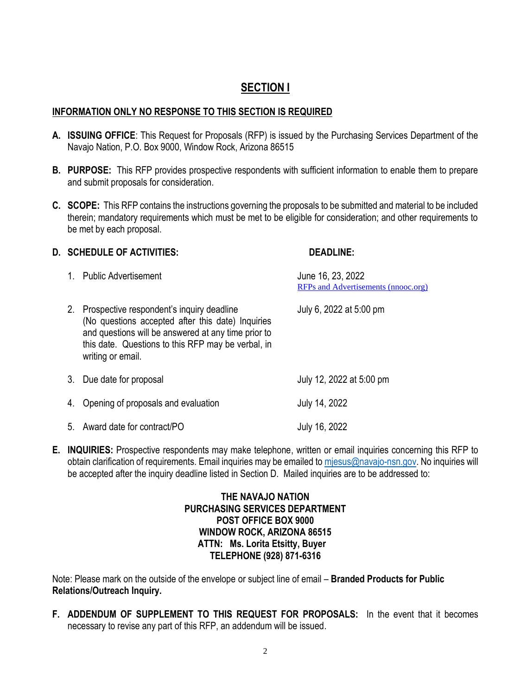## **SECTION I**

#### **INFORMATION ONLY NO RESPONSE TO THIS SECTION IS REQUIRED**

- **A. ISSUING OFFICE**: This Request for Proposals (RFP) is issued by the Purchasing Services Department of the Navajo Nation, P.O. Box 9000, Window Rock, Arizona 86515
- **B. PURPOSE:** This RFP provides prospective respondents with sufficient information to enable them to prepare and submit proposals for consideration.
- **C. SCOPE:** This RFP contains the instructions governing the proposals to be submitted and material to be included therein; mandatory requirements which must be met to be eligible for consideration; and other requirements to be met by each proposal.

#### **D. SCHEDULE OF ACTIVITIES: DEADLINE:**

| 1. Public Advertisement                                                                                                                                                                                                             | June 16, 23, 2022<br>RFPs and Advertisements (nnooc.org) |
|-------------------------------------------------------------------------------------------------------------------------------------------------------------------------------------------------------------------------------------|----------------------------------------------------------|
| 2. Prospective respondent's inquiry deadline<br>(No questions accepted after this date) Inquiries<br>and questions will be answered at any time prior to<br>this date. Questions to this RFP may be verbal, in<br>writing or email. | July 6, 2022 at 5:00 pm                                  |
| 3. Due date for proposal                                                                                                                                                                                                            | July 12, 2022 at 5:00 pm                                 |
| 4. Opening of proposals and evaluation                                                                                                                                                                                              | July 14, 2022                                            |
| 5. Award date for contract/PO                                                                                                                                                                                                       | July 16, 2022                                            |

**E. INQUIRIES:** Prospective respondents may make telephone, written or email inquiries concerning this RFP to obtain clarification of requirements. Email inquiries may be emailed to [mjesus@navajo-nsn.gov.](mailto:mjesus@navajo-nsn.gov) No inquiries will be accepted after the inquiry deadline listed in Section D. Mailed inquiries are to be addressed to:

#### **THE NAVAJO NATION PURCHASING SERVICES DEPARTMENT POST OFFICE BOX 9000 WINDOW ROCK, ARIZONA 86515 ATTN: Ms. Lorita Etsitty, Buyer TELEPHONE (928) 871-6316**

Note: Please mark on the outside of the envelope or subject line of email – **Branded Products for Public Relations/Outreach Inquiry.**

**F. ADDENDUM OF SUPPLEMENT TO THIS REQUEST FOR PROPOSALS:** In the event that it becomes necessary to revise any part of this RFP, an addendum will be issued.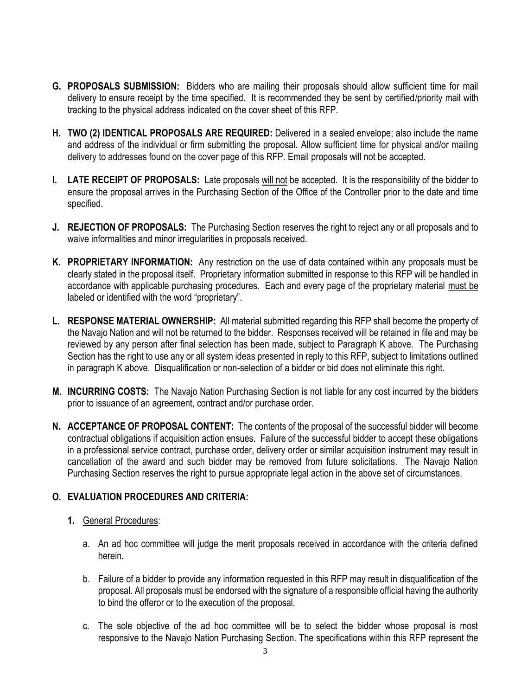- **G. PROPOSALS SUBMISSION:** Bidders who are mailing their proposals should allow sufficient time for mail delivery to ensure receipt by the time specified. It is recommended they be sent by certified/priority mail with tracking to the physical address indicated on the cover sheet of this RFP.
- **H. TWO (2) IDENTICAL PROPOSALS ARE REQUIRED:** Delivered in a sealed envelope; also include the name and address of the individual or firm submitting the proposal. Allow sufficient time for physical and/or mailing delivery to addresses found on the cover page of this RFP. Email proposals will not be accepted.
- **I. LATE RECEIPT OF PROPOSALS:** Late proposals will not be accepted. It is the responsibility of the bidder to ensure the proposal arrives in the Purchasing Section of the Office of the Controller prior to the date and time specified.
- **J. REJECTION OF PROPOSALS:** The Purchasing Section reserves the right to reject any or all proposals and to waive informalities and minor irregularities in proposals received.
- **K. PROPRIETARY INFORMATION:** Any restriction on the use of data contained within any proposals must be clearly stated in the proposal itself. Proprietary information submitted in response to this RFP will be handled in accordance with applicable purchasing procedures. Each and every page of the proprietary material must be labeled or identified with the word "proprietary".
- **L. RESPONSE MATERIAL OWNERSHIP:** All material submitted regarding this RFP shall become the property of the Navajo Nation and will not be returned to the bidder. Responses received will be retained in file and may be reviewed by any person after final selection has been made, subject to Paragraph K above. The Purchasing Section has the right to use any or all system ideas presented in reply to this RFP, subject to limitations outlined in paragraph K above. Disqualification or non-selection of a bidder or bid does not eliminate this right.
- **M. INCURRING COSTS:** The Navajo Nation Purchasing Section is not liable for any cost incurred by the bidders prior to issuance of an agreement, contract and/or purchase order.
- **N. ACCEPTANCE OF PROPOSAL CONTENT:** The contents of the proposal of the successful bidder will become contractual obligations if acquisition action ensues. Failure of the successful bidder to accept these obligations in a professional service contract, purchase order, delivery order or similar acquisition instrument may result in cancellation of the award and such bidder may be removed from future solicitations. The Navajo Nation Purchasing Section reserves the right to pursue appropriate legal action in the above set of circumstances.

#### **O. EVALUATION PROCEDURES AND CRITERIA:**

- **1.** General Procedures:
	- a. An ad hoc committee will judge the merit proposals received in accordance with the criteria defined herein.
	- b. Failure of a bidder to provide any information requested in this RFP may result in disqualification of the proposal. All proposals must be endorsed with the signature of a responsible official having the authority to bind the offeror or to the execution of the proposal.
	- c. The sole objective of the ad hoc committee will be to select the bidder whose proposal is most responsive to the Navajo Nation Purchasing Section. The specifications within this RFP represent the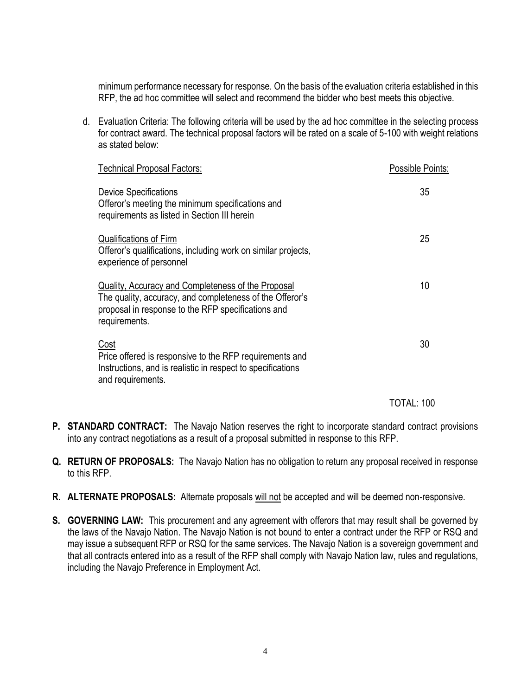minimum performance necessary for response. On the basis of the evaluation criteria established in this RFP, the ad hoc committee will select and recommend the bidder who best meets this objective.

d. Evaluation Criteria: The following criteria will be used by the ad hoc committee in the selecting process for contract award. The technical proposal factors will be rated on a scale of 5-100 with weight relations as stated below:

| <b>Technical Proposal Factors:</b>                                                                                                                                                    | Possible Points: |
|---------------------------------------------------------------------------------------------------------------------------------------------------------------------------------------|------------------|
| <b>Device Specifications</b><br>Offeror's meeting the minimum specifications and<br>requirements as listed in Section III herein                                                      | 35               |
| Qualifications of Firm<br>Offeror's qualifications, including work on similar projects,<br>experience of personnel                                                                    | 25               |
| Quality, Accuracy and Completeness of the Proposal<br>The quality, accuracy, and completeness of the Offeror's<br>proposal in response to the RFP specifications and<br>requirements. | 10               |
| <u>Cost</u><br>Price offered is responsive to the RFP requirements and<br>Instructions, and is realistic in respect to specifications<br>and requirements.                            | 30               |

TOTAL: 100

- **P. STANDARD CONTRACT:** The Navajo Nation reserves the right to incorporate standard contract provisions into any contract negotiations as a result of a proposal submitted in response to this RFP.
- **Q. RETURN OF PROPOSALS:** The Navajo Nation has no obligation to return any proposal received in response to this RFP.
- **R. ALTERNATE PROPOSALS:** Alternate proposals will not be accepted and will be deemed non-responsive.
- **S. GOVERNING LAW:** This procurement and any agreement with offerors that may result shall be governed by the laws of the Navajo Nation. The Navajo Nation is not bound to enter a contract under the RFP or RSQ and may issue a subsequent RFP or RSQ for the same services. The Navajo Nation is a sovereign government and that all contracts entered into as a result of the RFP shall comply with Navajo Nation law, rules and regulations, including the Navajo Preference in Employment Act.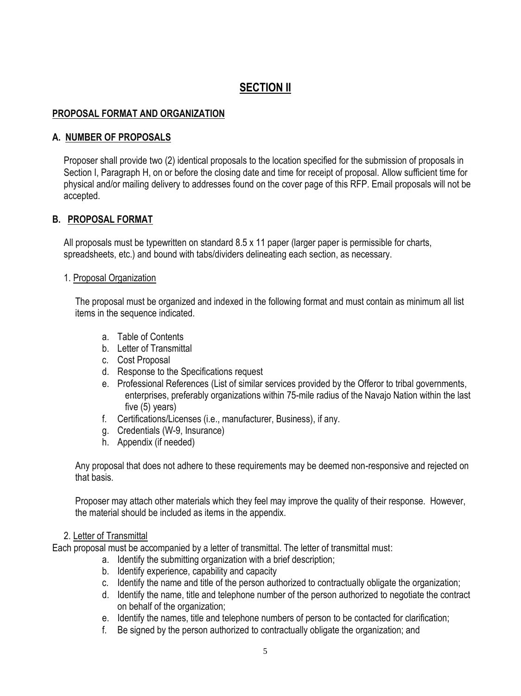## **SECTION II**

#### **PROPOSAL FORMAT AND ORGANIZATION**

#### **A. NUMBER OF PROPOSALS**

Proposer shall provide two (2) identical proposals to the location specified for the submission of proposals in Section I, Paragraph H, on or before the closing date and time for receipt of proposal. Allow sufficient time for physical and/or mailing delivery to addresses found on the cover page of this RFP. Email proposals will not be accepted.

#### **B. PROPOSAL FORMAT**

All proposals must be typewritten on standard 8.5 x 11 paper (larger paper is permissible for charts, spreadsheets, etc.) and bound with tabs/dividers delineating each section, as necessary.

#### 1. Proposal Organization

The proposal must be organized and indexed in the following format and must contain as minimum all list items in the sequence indicated.

- a. Table of Contents
- b. Letter of Transmittal
- c. Cost Proposal
- d. Response to the Specifications request
- e. Professional References (List of similar services provided by the Offeror to tribal governments, enterprises, preferably organizations within 75-mile radius of the Navajo Nation within the last five (5) years)
- f. Certifications/Licenses (i.e., manufacturer, Business), if any.
- g. Credentials (W-9, Insurance)
- h. Appendix (if needed)

Any proposal that does not adhere to these requirements may be deemed non-responsive and rejected on that basis.

Proposer may attach other materials which they feel may improve the quality of their response. However, the material should be included as items in the appendix.

#### 2. Letter of Transmittal

Each proposal must be accompanied by a letter of transmittal. The letter of transmittal must:

- a. Identify the submitting organization with a brief description;
- b. Identify experience, capability and capacity
- c. Identify the name and title of the person authorized to contractually obligate the organization;
- d. Identify the name, title and telephone number of the person authorized to negotiate the contract on behalf of the organization;
- e. Identify the names, title and telephone numbers of person to be contacted for clarification;
- f. Be signed by the person authorized to contractually obligate the organization; and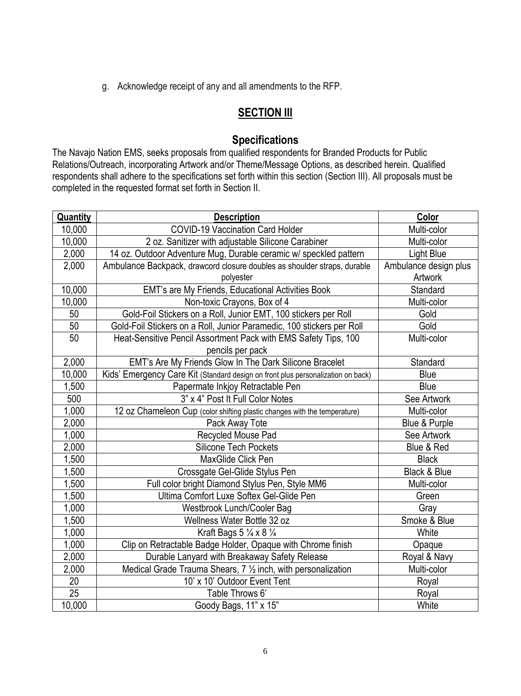g. Acknowledge receipt of any and all amendments to the RFP.

## **SECTION III**

## **Specifications**

The Navajo Nation EMS, seeks proposals from qualified respondents for Branded Products for Public Relations/Outreach, incorporating Artwork and/or Theme/Message Options, as described herein. Qualified respondents shall adhere to the specifications set forth within this section (Section III). All proposals must be completed in the requested format set forth in Section II.

| Quantity        | <b>Description</b>                                                               | Color                 |
|-----------------|----------------------------------------------------------------------------------|-----------------------|
| 10,000          | <b>COVID-19 Vaccination Card Holder</b>                                          | Multi-color           |
| 10,000          | 2 oz. Sanitizer with adjustable Silicone Carabiner                               | Multi-color           |
| 2,000           | 14 oz. Outdoor Adventure Mug, Durable ceramic w/ speckled pattern                | <b>Light Blue</b>     |
| 2,000           | Ambulance Backpack, drawcord closure doubles as shoulder straps, durable         | Ambulance design plus |
|                 | polyester                                                                        | Artwork               |
| 10,000          | EMT's are My Friends, Educational Activities Book                                | Standard              |
| 10,000          | Non-toxic Crayons, Box of 4                                                      | Multi-color           |
| 50              | Gold-Foil Stickers on a Roll, Junior EMT, 100 stickers per Roll                  | Gold                  |
| 50              | Gold-Foil Stickers on a Roll, Junior Paramedic, 100 stickers per Roll            | Gold                  |
| 50              | Heat-Sensitive Pencil Assortment Pack with EMS Safety Tips, 100                  | Multi-color           |
|                 | pencils per pack                                                                 |                       |
| 2,000           | EMT's Are My Friends Glow In The Dark Silicone Bracelet                          | Standard              |
| 10,000          | Kids' Emergency Care Kit (Standard design on front plus personalization on back) | <b>Blue</b>           |
| 1,500           | Papermate Inkjoy Retractable Pen                                                 | Blue                  |
| 500             | 3" x 4" Post It Full Color Notes                                                 | See Artwork           |
| 1,000           | 12 oz Chameleon Cup (color shifting plastic changes with the temperature)        | Multi-color           |
| 2,000           | Pack Away Tote                                                                   | Blue & Purple         |
| 1,000           | Recycled Mouse Pad                                                               | See Artwork           |
| 2,000           | <b>Silicone Tech Pockets</b>                                                     | Blue & Red            |
| 1,500           | MaxGlide Click Pen                                                               | <b>Black</b>          |
| 1,500           | Crossgate Gel-Glide Stylus Pen                                                   | Black & Blue          |
| 1,500           | Full color bright Diamond Stylus Pen, Style MM6                                  | Multi-color           |
| 1,500           | Ultima Comfort Luxe Softex Gel-Glide Pen                                         | Green                 |
| 1,000           | Westbrook Lunch/Cooler Bag                                                       | Gray                  |
| 1,500           | Wellness Water Bottle 32 oz                                                      | Smoke & Blue          |
| 1,000           | Kraft Bags $5\frac{1}{4} \times 8\frac{1}{4}$                                    | White                 |
| 1,000           | Clip on Retractable Badge Holder, Opaque with Chrome finish                      | Opaque                |
| 2,000           | Durable Lanyard with Breakaway Safety Release                                    | Royal & Navy          |
| 2,000           | Medical Grade Trauma Shears, 7 1/2 inch, with personalization                    | Multi-color           |
| 20              | 10' x 10' Outdoor Event Tent                                                     | Royal                 |
| $\overline{25}$ | Table Throws 6'                                                                  | Royal                 |
| 10,000          | Goody Bags, 11" x 15"                                                            | White                 |